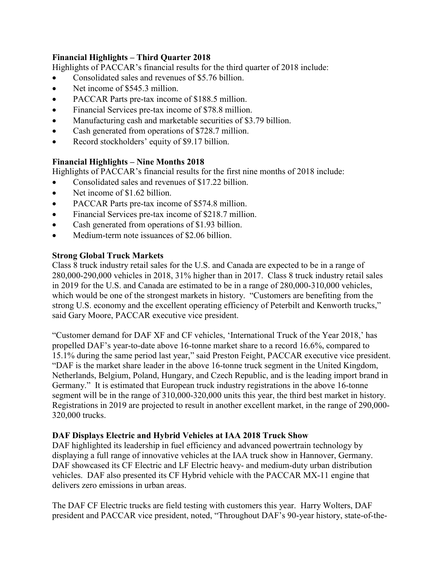## **Financial Highlights – Third Quarter 2018**

Highlights of PACCAR's financial results for the third quarter of 2018 include:

- Consolidated sales and revenues of \$5.76 billion.
- Net income of \$545.3 million.
- PACCAR Parts pre-tax income of \$188.5 million.
- Financial Services pre-tax income of \$78.8 million.
- Manufacturing cash and marketable securities of \$3.79 billion.
- Cash generated from operations of \$728.7 million.
- Record stockholders' equity of \$9.17 billion.

## **Financial Highlights – Nine Months 2018**

Highlights of PACCAR's financial results for the first nine months of 2018 include:

- Consolidated sales and revenues of \$17.22 billion.
- Net income of \$1.62 billion.
- PACCAR Parts pre-tax income of \$574.8 million.
- Financial Services pre-tax income of \$218.7 million.
- Cash generated from operations of \$1.93 billion.
- Medium-term note issuances of \$2.06 billion.

## **Strong Global Truck Markets**

Class 8 truck industry retail sales for the U.S. and Canada are expected to be in a range of 280,000-290,000 vehicles in 2018, 31% higher than in 2017. Class 8 truck industry retail sales in 2019 for the U.S. and Canada are estimated to be in a range of 280,000-310,000 vehicles, which would be one of the strongest markets in history. "Customers are benefiting from the strong U.S. economy and the excellent operating efficiency of Peterbilt and Kenworth trucks," said Gary Moore, PACCAR executive vice president.

"Customer demand for DAF XF and CF vehicles, 'International Truck of the Year 2018,' has propelled DAF's year-to-date above 16-tonne market share to a record 16.6%, compared to 15.1% during the same period last year," said Preston Feight, PACCAR executive vice president. "DAF is the market share leader in the above 16-tonne truck segment in the United Kingdom, Netherlands, Belgium, Poland, Hungary, and Czech Republic, and is the leading import brand in Germany." It is estimated that European truck industry registrations in the above 16-tonne segment will be in the range of 310,000-320,000 units this year, the third best market in history. Registrations in 2019 are projected to result in another excellent market, in the range of 290,000- 320,000 trucks.

## **DAF Displays Electric and Hybrid Vehicles at IAA 2018 Truck Show**

DAF highlighted its leadership in fuel efficiency and advanced powertrain technology by displaying a full range of innovative vehicles at the IAA truck show in Hannover, Germany. DAF showcased its CF Electric and LF Electric heavy- and medium-duty urban distribution vehicles. DAF also presented its CF Hybrid vehicle with the PACCAR MX-11 engine that delivers zero emissions in urban areas.

The DAF CF Electric trucks are field testing with customers this year. Harry Wolters, DAF president and PACCAR vice president, noted, "Throughout DAF's 90-year history, state-of-the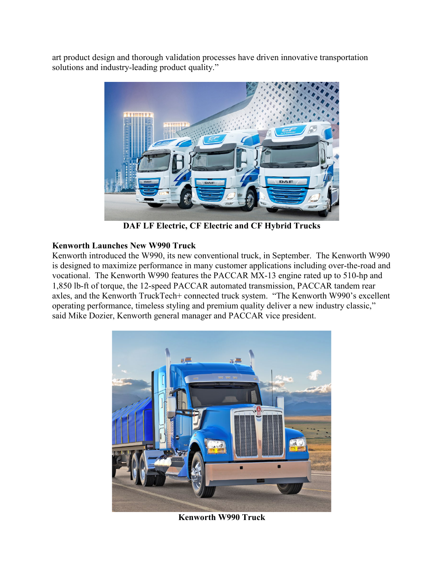art product design and thorough validation processes have driven innovative transportation solutions and industry-leading product quality."



**DAF LF Electric, CF Electric and CF Hybrid Trucks**

## **Kenworth Launches New W990 Truck**

Kenworth introduced the W990, its new conventional truck, in September. The Kenworth W990 is designed to maximize performance in many customer applications including over-the-road and vocational. The Kenworth W990 features the PACCAR MX-13 engine rated up to 510-hp and 1,850 lb-ft of torque, the 12-speed PACCAR automated transmission, PACCAR tandem rear axles, and the Kenworth TruckTech+ connected truck system. "The Kenworth W990's excellent operating performance, timeless styling and premium quality deliver a new industry classic," said Mike Dozier, Kenworth general manager and PACCAR vice president.



**Kenworth W990 Truck**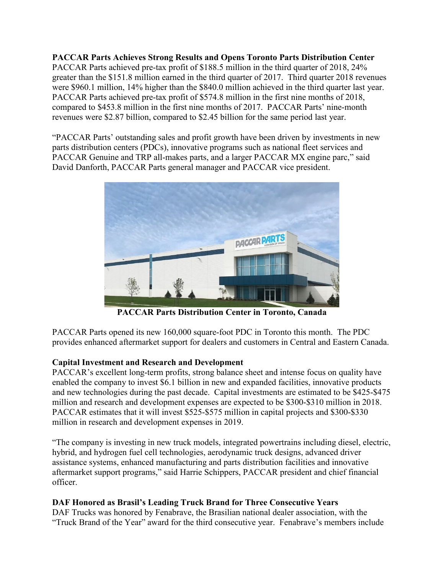**PACCAR Parts Achieves Strong Results and Opens Toronto Parts Distribution Center** PACCAR Parts achieved pre-tax profit of \$188.5 million in the third quarter of 2018, 24% greater than the \$151.8 million earned in the third quarter of 2017. Third quarter 2018 revenues were \$960.1 million, 14% higher than the \$840.0 million achieved in the third quarter last year. PACCAR Parts achieved pre-tax profit of \$574.8 million in the first nine months of 2018, compared to \$453.8 million in the first nine months of 2017. PACCAR Parts' nine-month revenues were \$2.87 billion, compared to \$2.45 billion for the same period last year.

"PACCAR Parts' outstanding sales and profit growth have been driven by investments in new parts distribution centers (PDCs), innovative programs such as national fleet services and PACCAR Genuine and TRP all-makes parts, and a larger PACCAR MX engine parc," said David Danforth, PACCAR Parts general manager and PACCAR vice president.



**PACCAR Parts Distribution Center in Toronto, Canada**

PACCAR Parts opened its new 160,000 square-foot PDC in Toronto this month. The PDC provides enhanced aftermarket support for dealers and customers in Central and Eastern Canada.

# **Capital Investment and Research and Development**

PACCAR's excellent long-term profits, strong balance sheet and intense focus on quality have enabled the company to invest \$6.1 billion in new and expanded facilities, innovative products and new technologies during the past decade. Capital investments are estimated to be \$425-\$475 million and research and development expenses are expected to be \$300-\$310 million in 2018. PACCAR estimates that it will invest \$525-\$575 million in capital projects and \$300-\$330 million in research and development expenses in 2019.

"The company is investing in new truck models, integrated powertrains including diesel, electric, hybrid, and hydrogen fuel cell technologies, aerodynamic truck designs, advanced driver assistance systems, enhanced manufacturing and parts distribution facilities and innovative aftermarket support programs," said Harrie Schippers, PACCAR president and chief financial officer.

# **DAF Honored as Brasil's Leading Truck Brand for Three Consecutive Years**

DAF Trucks was honored by Fenabrave, the Brasilian national dealer association, with the "Truck Brand of the Year" award for the third consecutive year. Fenabrave's members include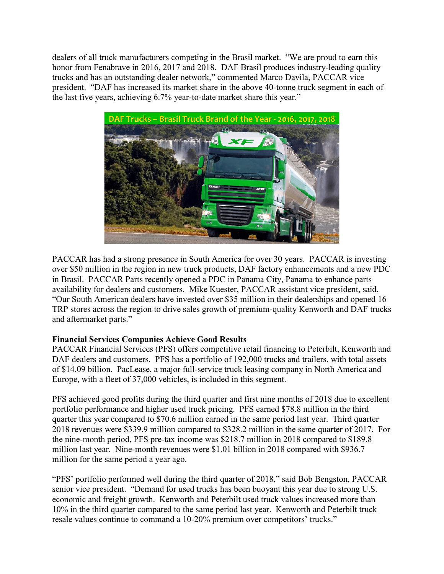dealers of all truck manufacturers competing in the Brasil market. "We are proud to earn this honor from Fenabrave in 2016, 2017 and 2018. DAF Brasil produces industry-leading quality trucks and has an outstanding dealer network," commented Marco Davila, PACCAR vice president. "DAF has increased its market share in the above 40-tonne truck segment in each of the last five years, achieving 6.7% year-to-date market share this year."



PACCAR has had a strong presence in South America for over 30 years. PACCAR is investing over \$50 million in the region in new truck products, DAF factory enhancements and a new PDC in Brasil. PACCAR Parts recently opened a PDC in Panama City, Panama to enhance parts availability for dealers and customers. Mike Kuester, PACCAR assistant vice president, said, "Our South American dealers have invested over \$35 million in their dealerships and opened 16 TRP stores across the region to drive sales growth of premium-quality Kenworth and DAF trucks and aftermarket parts."

## **Financial Services Companies Achieve Good Results**

PACCAR Financial Services (PFS) offers competitive retail financing to Peterbilt, Kenworth and DAF dealers and customers. PFS has a portfolio of 192,000 trucks and trailers, with total assets of \$14.09 billion. PacLease, a major full-service truck leasing company in North America and Europe, with a fleet of 37,000 vehicles, is included in this segment.

PFS achieved good profits during the third quarter and first nine months of 2018 due to excellent portfolio performance and higher used truck pricing. PFS earned \$78.8 million in the third quarter this year compared to \$70.6 million earned in the same period last year. Third quarter 2018 revenues were \$339.9 million compared to \$328.2 million in the same quarter of 2017. For the nine-month period, PFS pre-tax income was \$218.7 million in 2018 compared to \$189.8 million last year. Nine-month revenues were \$1.01 billion in 2018 compared with \$936.7 million for the same period a year ago.

"PFS' portfolio performed well during the third quarter of 2018," said Bob Bengston, PACCAR senior vice president. "Demand for used trucks has been buoyant this year due to strong U.S. economic and freight growth. Kenworth and Peterbilt used truck values increased more than 10% in the third quarter compared to the same period last year. Kenworth and Peterbilt truck resale values continue to command a 10-20% premium over competitors' trucks."